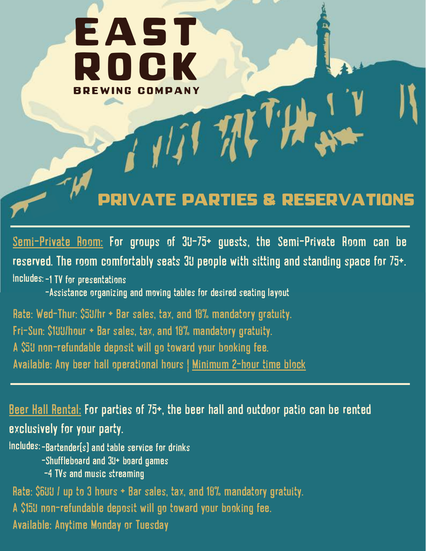

Semi-Private Room: For groups of 30-75+ guests, the Semi-Private Room can be reserved. The room comfortably seats 30 people with sitting and standing space for 75+. Includes:-1 TV for presentations

-Assistance organizing and moving tables for desired seating layout

Rate: Wed-Thur: \$50/hr + Bar sales, tax, and 18% mandatory gratuity. Fri-Sun: \$100/hour + Bar sales, tax, and 18% mandatory gratuity. A \$50 non-refundable deposit will go toward your booking fee. Available: Any beer hall operational hours | Minimum 2-hour time block

Beer Hall Rental: For parties of 75+, the beer hall and outdoor patio can be rented exclusively for your party.

Includes:-Bartender(s) and table service for drinks -Shuffleboard and 30+ board games

-4 TVs and music streaming

Rate: \$600 / up to 3 hours + Bar sales, tax, and 18% mandatory gratuity. A \$150 non-refundable deposit will go toward your booking fee. Available: Anytime Monday or Tuesday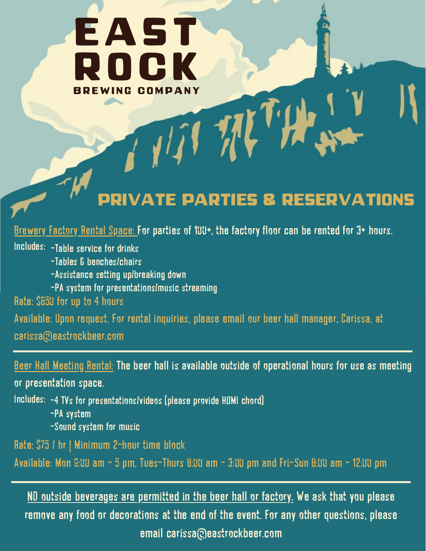# EAST D C K **BREWING COMPANY**

### private parties & Reservations

Brewery Factory Rental Space: For parties of 100+, the factory floor can be rented for 3+ hours.

Includes: -Table service for drinks -Tables & benches/chairs -Assistance setting up/breaking down -PA system for presentations/music streaming Rate: \$650 for up to 4 hours

Available: Upon request. For rental inquiries, please email our beer hall manager, Carissa, at carissa@eastrockbeer.com

Beer Hall Meeting Rental: The beer hall is available outside of operational hours for use as meeting

or presentation space.

Includes: -4 TVs for presentations/videos (please provide HDMI chord) -PA system -Sound system for music

Rate: \$75 / hr | Minimum 2-hour time block

Available: Mon 9:00 am - 5 pm, Tues-Thurs 8:00 am - 3:00 pm and Fri-Sun 8:00 am - 12:00 pm

NO outside beverages are permitted in the beer hall or factory. We ask that you please remove any food or decorations at the end of the event. For any other questions, please email carissa@eastrockbeer.com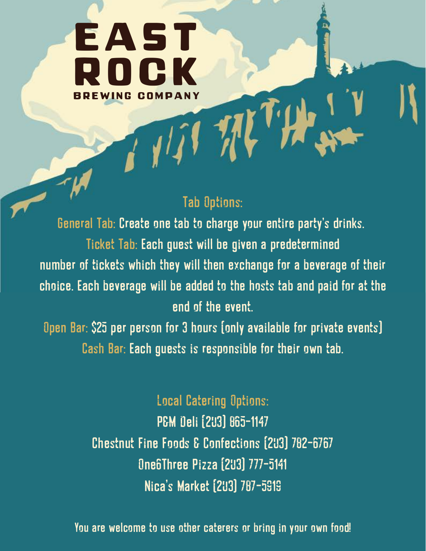## EAST R o c k BREWING COMPANY

#### Tab Options:

Nil 11

General Tab: Create one tab to charge your entire party's drinks. Ticket Tab: Each guest will be given a predetermined number of tickets which they will then exchange for a beverage of their choice. Each beverage will be added to the hosts tab and paid for at the end of the event.

Open Bar: \$25 per person for 3 hours (only available for private events) Cash Bar: Each guests is responsible for their own tab.

> Local Catering Options: P&M Deli (203) 865-1147 Chestnut Fine Foods & Confections (203) 782-6767 One6Three Pizza (203) 777-5141 Nica's Market (203) 787-5919

You are welcome to use other caterers or bring in your own food!